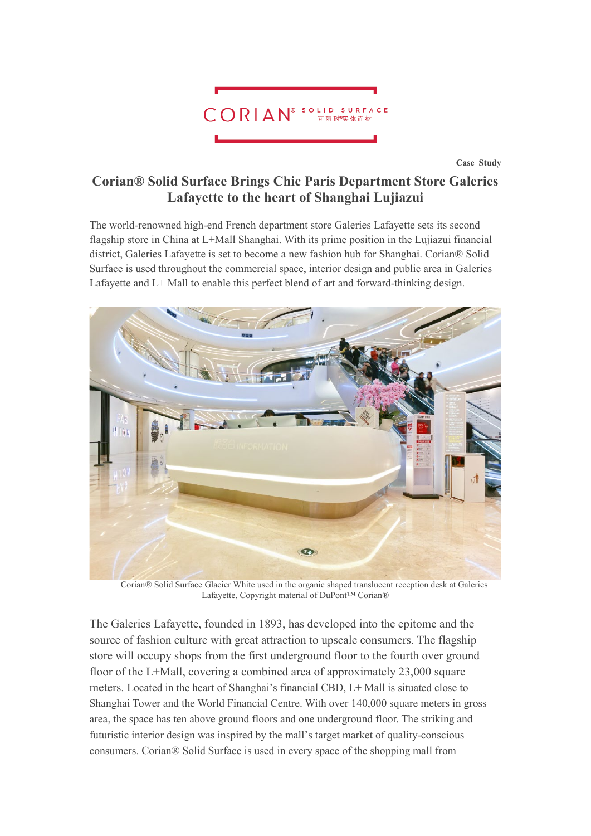

**Case Study**

# **Corian® Solid Surface Brings Chic Paris Department Store Galeries Lafayette to the heart of Shanghai Lujiazui**

The world-renowned high-end French department store Galeries Lafayette sets its second flagship store in China at L+Mall Shanghai. With its prime position in the Lujiazui financial district, Galeries Lafayette is set to become a new fashion hub for Shanghai. Corian® Solid Surface is used throughout the commercial space, interior design and public area in Galeries Lafayette and L+ Mall to enable this perfect blend of art and forward-thinking design.



Corian® Solid Surface Glacier White used in the organic shaped translucent reception desk at Galeries Lafayette, Copyright material of DuPont™ Corian®

The Galeries Lafayette, founded in 1893, has developed into the epitome and the source of fashion culture with great attraction to upscale consumers. The flagship store will occupy shops from the first underground floor to the fourth over ground floor of the L+Mall, covering a combined area of approximately 23,000 square meters. Located in the heart of Shanghai's financial CBD, L+ Mall is situated close to Shanghai Tower and the World Financial Centre. With over 140,000 square meters in gross area, the space has ten above ground floors and one underground floor. The striking and futuristic interior design was inspired by the mall's target market of quality-conscious consumers. Corian® Solid Surface is used in every space of the shopping mall from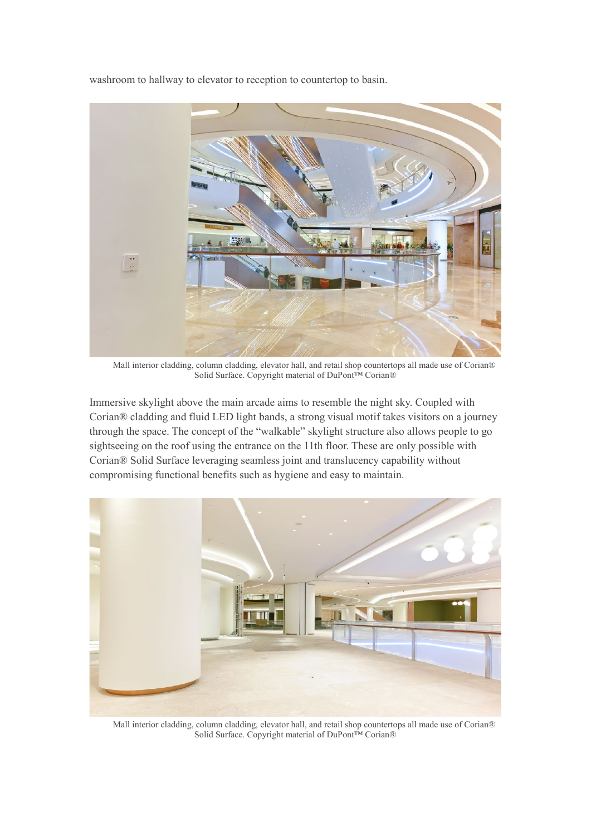washroom to hallway to elevator to reception to countertop to basin.



Mall interior cladding, column cladding, elevator hall, and retail shop countertops all made use of Corian® Solid Surface. Copyright material of DuPont™ Corian®

Immersive skylight above the main arcade aims to resemble the night sky. Coupled with Corian® cladding and fluid LED light bands, a strong visual motif takes visitors on a journey through the space. The concept of the "walkable" skylight structure also allows people to go sightseeing on the roof using the entrance on the 11th floor. These are only possible with Corian® Solid Surface leveraging seamless joint and translucency capability without compromising functional benefits such as hygiene and easy to maintain.



Mall interior cladding, column cladding, elevator hall, and retail shop countertops all made use of Corian® Solid Surface. Copyright material of DuPont™ Corian®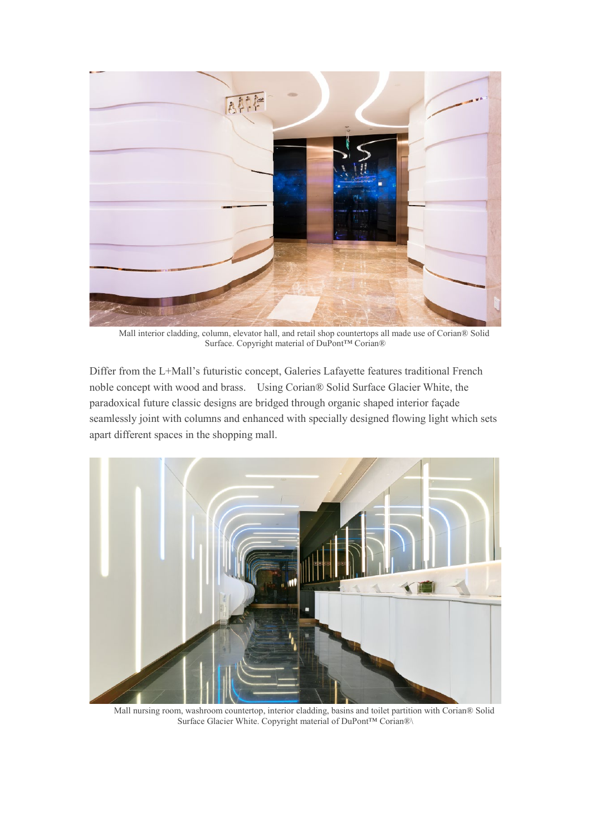

Mall interior cladding, column, elevator hall, and retail shop countertops all made use of Corian® Solid Surface. Copyright material of DuPont™ Corian®

Differ from the L+Mall's futuristic concept, Galeries Lafayette features traditional French noble concept with wood and brass. Using Corian® Solid Surface Glacier White, the paradoxical future classic designs are bridged through organic shaped interior façade seamlessly joint with columns and enhanced with specially designed flowing light which sets apart different spaces in the shopping mall.



Mall nursing room, washroom countertop, interior cladding, basins and toilet partition with Corian® Solid Surface Glacier White. Copyright material of DuPont™ Corian®\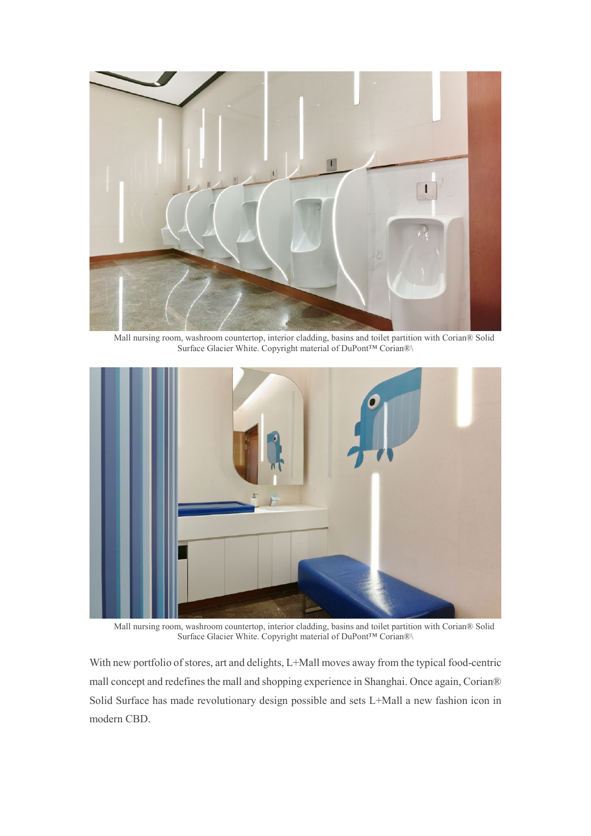

Mall nursing room, washroom countertop, interior cladding, basins and toilet partition with Corian® Solid Surface Glacier White. Copyright material of DuPont™ Corian®\



Mall nursing room, washroom countertop, interior cladding, basins and toilet partition with Corian® Solid Surface Glacier White. Copyright material of DuPont™ Corian®\

With new portfolio of stores, art and delights, L+Mall moves away from the typical food-centric mall concept and redefines the mall and shopping experience in Shanghai. Once again, Corian® Solid Surface has made revolutionary design possible and sets L+Mall a new fashion icon in modern CBD.